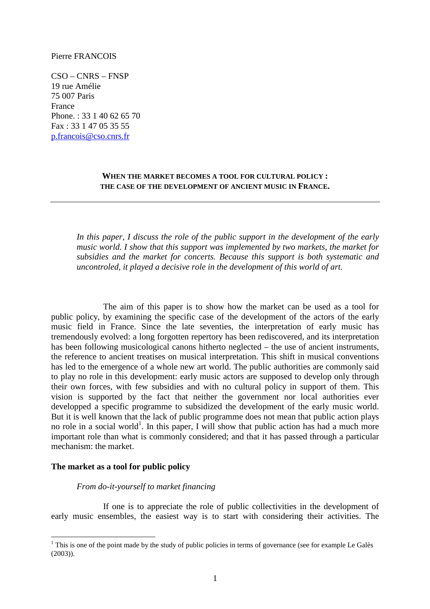#### Pierre FRANCOIS

CSO – CNRS – FNSP 19 rue Amélie 75 007 Paris France Phone. : 33 1 40 62 65 70 Fax : 33 1 47 05 35 55 p.francois@cso.cnrs.fr

## **WHEN THE MARKET BECOMES A TOOL FOR CULTURAL POLICY : THE CASE OF THE DEVELOPMENT OF ANCIENT MUSIC IN FRANCE.**

*In this paper, I discuss the role of the public support in the development of the early music world. I show that this support was implemented by two markets, the market for subsidies and the market for concerts. Because this support is both systematic and uncontroled, it played a decisive role in the development of this world of art.* 

The aim of this paper is to show how the market can be used as a tool for public policy, by examining the specific case of the development of the actors of the early music field in France. Since the late seventies, the interpretation of early music has tremendously evolved: a long forgotten repertory has been rediscovered, and its interpretation has been following musicological canons hitherto neglected – the use of ancient instruments, the reference to ancient treatises on musical interpretation. This shift in musical conventions has led to the emergence of a whole new art world. The public authorities are commonly said to play no role in this development: early music actors are supposed to develop only through their own forces, with few subsidies and with no cultural policy in support of them. This vision is supported by the fact that neither the government nor local authorities ever developped a specific programme to subsidized the development of the early music world. But it is well known that the lack of public programme does not mean that public action plays no role in a social world<sup>1</sup>. In this paper, I will show that public action has had a much more important role than what is commonly considered; and that it has passed through a particular mechanism: the market.

## **The market as a tool for public policy**

 $\overline{a}$ 

## *From do-it-yourself to market financing*

If one is to appreciate the role of public collectivities in the development of early music ensembles, the easiest way is to start with considering their activities. The

 $1$  This is one of the point made by the study of public policies in terms of governance (see for example Le Galès (2003)).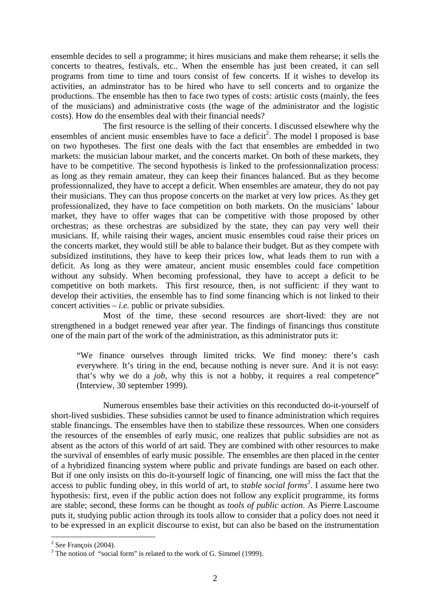ensemble decides to sell a programme; it hires musicians and make them rehearse; it sells the concerts to theatres, festivals, etc.. When the ensemble has just been created, it can sell programs from time to time and tours consist of few concerts. If it wishes to develop its activities, an adminstrator has to be hired who have to sell concerts and to organize the productions. The ensemble has then to face two types of costs: artistic costs (mainly, the fees of the musicians) and administrative costs (the wage of the administrator and the logistic costs). How do the ensembles deal with their financial needs?

The first resource is the selling of their concerts. I discussed elsewhere why the ensembles of ancient music ensembles have to face a deficit<sup>2</sup>. The model I proposed is base on two hypotheses. The first one deals with the fact that ensembles are embedded in two markets: the musician labour market, and the concerts market. On both of these markets, they have to be competitive. The second hypothesis is linked to the professionnalization process: as long as they remain amateur, they can keep their finances balanced. But as they become professionnalized, they have to accept a deficit. When ensembles are amateur, they do not pay their musicians. They can thus propose concerts on the market at very low prices. As they get professionalized, they have to face competition on both markets. On the musicians' labour market, they have to offer wages that can be competitive with those proposed by other orchestras; as these orchestras are subsidized by the state, they can pay very well their musicians. If, while raising their wages, ancient music ensembles coud raise their prices on the concerts market, they would still be able to balance their budget. But as they compete with subsidized institutions, they have to keep their prices low, what leads them to run with a deficit. As long as they were amateur, ancient music ensembles could face competition without any subsidy. When becoming professional, they have to accept a deficit to be competitive on both markets. This first resource, then, is not sufficient: if they want to develop their activities, the ensemble has to find some financing which is not linked to their concert activities  $-i.e.$  public or private subsidies.

Most of the time, these second resources are short-lived: they are not strengthened in a budget renewed year after year. The findings of financings thus constitute one of the main part of the work of the administration, as this administrator puts it:

"We finance ourselves through limited tricks. We find money: there's cash everywhere. It's tiring in the end, because nothing is never sure. And it is not easy: that's why we do a *job*, why this is not a hobby, it requires a real competence" (Interview, 30 september 1999).

Numerous ensembles base their activities on this reconducted do-it-yourself of short-lived susbidies. These subsidies cannot be used to finance administration which requires stable financings. The ensembles have then to stabilize these ressources. When one considers the resources of the ensembles of early music, one realizes that public subsidies are not as absent as the actors of this world of art said. They are combined with other resources to make the survival of ensembles of early music possible. The ensembles are then placed in the center of a hybridized financing system where public and private fundings are based on each other. But if one only insists on this do-it-yourself logic of financing, one will miss the fact that the access to public funding obey, in this world of art, to *stable social forms<sup>3</sup>* . I assume here two hypothesis: first, even if the public action does not follow any explicit programme, its forms are stable; second, these forms can be thought as *tools of public action*. As Pierre Lascoume puts it, studying public action through its tools allow to consider that a policy does not need it to be expressed in an explicit discourse to exist, but can also be based on the instrumentation

 $\overline{a}$ 

 $2$  See François (2004).

 $3$  The notion of "social form" is related to the work of G. Simmel (1999).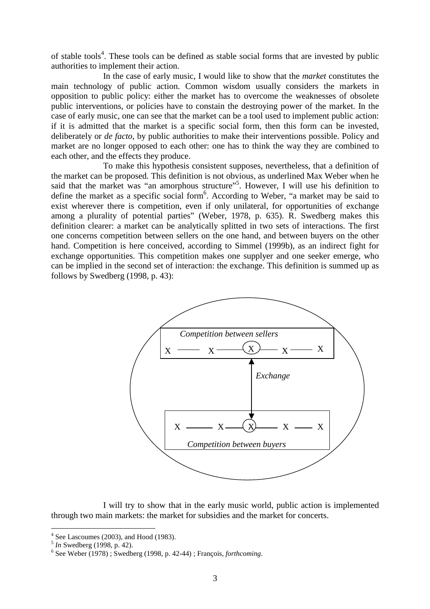of stable tools<sup>4</sup>. These tools can be defined as stable social forms that are invested by public authorities to implement their action.

In the case of early music, I would like to show that the *market* constitutes the main technology of public action. Common wisdom usually considers the markets in opposition to public policy: either the market has to overcome the weaknesses of obsolete public interventions, or policies have to constain the destroying power of the market. In the case of early music, one can see that the market can be a tool used to implement public action: if it is admitted that the market is a specific social form, then this form can be invested, deliberately or *de facto*, by public authorities to make their interventions possible. Policy and market are no longer opposed to each other: one has to think the way they are combined to each other, and the effects they produce.

To make this hypothesis consistent supposes, nevertheless, that a definition of the market can be proposed. This definition is not obvious, as underlined Max Weber when he said that the market was "an amorphous structure"<sup>5</sup>. However, I will use his definition to define the market as a specific social form<sup>6</sup>. According to Weber, "a market may be said to exist wherever there is competition, even if only unilateral, for opportunities of exchange among a plurality of potential parties" (Weber, 1978, p. 635). R. Swedberg makes this definition clearer: a market can be analytically splitted in two sets of interactions. The first one concerns competition between sellers on the one hand, and between buyers on the other hand. Competition is here conceived, according to Simmel (1999b), as an indirect fight for exchange opportunities. This competition makes one supplyer and one seeker emerge, who can be implied in the second set of interaction: the exchange. This definition is summed up as follows by Swedberg (1998, p. 43):



I will try to show that in the early music world, public action is implemented through two main markets: the market for subsidies and the market for concerts.

 4 See Lascoumes (2003), and Hood (1983).

<sup>5</sup> *In* Swedberg (1998, p. 42).

<sup>6</sup> See Weber (1978) ; Swedberg (1998, p. 42-44) ; François, *forthcoming*.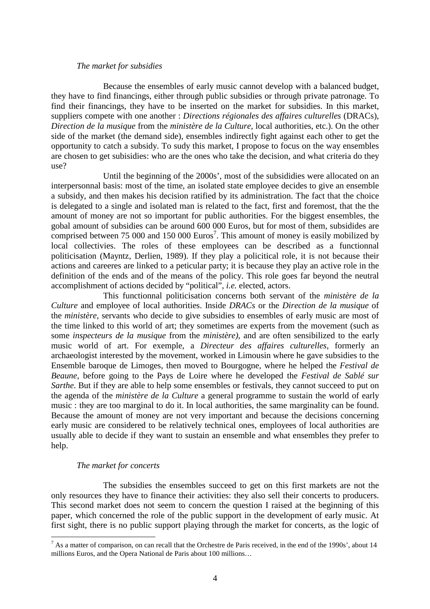## *The market for subsidies*

Because the ensembles of early music cannot develop with a balanced budget, they have to find financings, either through public subsidies or through private patronage. To find their financings, they have to be inserted on the market for subsidies. In this market, suppliers compete with one another : *Directions régionales des affaires culturelles* (DRACs), *Direction de la musique* from the *ministère de la Culture,* local authorities, etc.). On the other side of the market (the demand side), ensembles indirectly fight against each other to get the opportunity to catch a subsidy. To sudy this market, I propose to focus on the way ensembles are chosen to get subisidies: who are the ones who take the decision, and what criteria do they use?

Until the beginning of the 2000s', most of the subsididies were allocated on an interpersonnal basis: most of the time, an isolated state employee decides to give an ensemble a subsidy, and then makes his decision ratified by its administration. The fact that the choice is delegated to a single and isolated man is related to the fact, first and foremost, that the the amount of money are not so important for public authorities. For the biggest ensembles, the gobal amount of subsidies can be around 600 000 Euros, but for most of them, subsidides are comprised between 75 000 and 150 000 Euros<sup>7</sup>. This amount of money is easily mobilized by local collectivies. The roles of these employees can be described as a functionnal politicisation (Mayntz, Derlien, 1989). If they play a policitical role, it is not because their actions and careeres are linked to a peticular party; it is because they play an active role in the definition of the ends and of the means of the policy. This role goes far beyond the neutral accomplishment of actions decided by "political", *i.e.* elected, actors.

This functionnal politicisation concerns both servant of the *ministère de la Culture* and employee of local authorities. Inside *DRACs* or the *Direction de la musique* of the *ministère*, servants who decide to give subsidies to ensembles of early music are most of the time linked to this world of art; they sometimes are experts from the movement (such as some *inspecteurs de la musique* from the *ministère)*, and are often sensibilized to the early music world of art. For exemple, a *Directeur des affaires culturelles*, formerly an archaeologist interested by the movement, worked in Limousin where he gave subsidies to the Ensemble baroque de Limoges, then moved to Bourgogne, where he helped the *Festival de Beaune*, before going to the Pays de Loire where he developed the *Festival de Sablé sur Sarthe*. But if they are able to help some ensembles or festivals, they cannot succeed to put on the agenda of the *ministère de la Culture* a general programme to sustain the world of early music : they are too marginal to do it. In local authorities, the same marginality can be found. Because the amount of money are not very important and because the decisions concerning early music are considered to be relatively technical ones, employees of local authorities are usually able to decide if they want to sustain an ensemble and what ensembles they prefer to help.

## *The market for concerts*

 $\overline{a}$ 

The subsidies the ensembles succeed to get on this first markets are not the only resources they have to finance their activities: they also sell their concerts to producers. This second market does not seem to concern the question I raised at the beginning of this paper, which concerned the role of the public support in the development of early music. At first sight, there is no public support playing through the market for concerts, as the logic of

 $<sup>7</sup>$  As a matter of comparison, on can recall that the Orchestre de Paris received, in the end of the 1990s', about 14</sup> millions Euros, and the Opera National de Paris about 100 millions…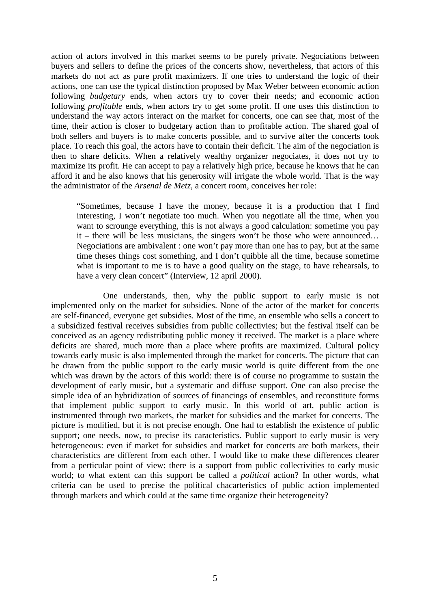action of actors involved in this market seems to be purely private. Negociations between buyers and sellers to define the prices of the concerts show, nevertheless, that actors of this markets do not act as pure profit maximizers. If one tries to understand the logic of their actions, one can use the typical distinction proposed by Max Weber between economic action following *budgetary* ends, when actors try to cover their needs; and economic action following *profitable* ends, when actors try to get some profit. If one uses this distinction to understand the way actors interact on the market for concerts, one can see that, most of the time, their action is closer to budgetary action than to profitable action. The shared goal of both sellers and buyers is to make concerts possible, and to survive after the concerts took place. To reach this goal, the actors have to contain their deficit. The aim of the negociation is then to share deficits. When a relatively wealthy organizer negociates, it does not try to maximize its profit. He can accept to pay a relatively high price, because he knows that he can afford it and he also knows that his generosity will irrigate the whole world. That is the way the administrator of the *Arsenal de Metz*, a concert room, conceives her role:

"Sometimes, because I have the money, because it is a production that I find interesting, I won't negotiate too much. When you negotiate all the time, when you want to scrounge everything, this is not always a good calculation: sometime you pay it – there will be less musicians, the singers won't be those who were announced… Negociations are ambivalent : one won't pay more than one has to pay, but at the same time theses things cost something, and I don't quibble all the time, because sometime what is important to me is to have a good quality on the stage, to have rehearsals, to have a very clean concert" (Interview, 12 april 2000).

One understands, then, why the public support to early music is not implemented only on the market for subsidies. None of the actor of the market for concerts are self-financed, everyone get subsidies. Most of the time, an ensemble who sells a concert to a subsidized festival receives subsidies from public collectivies; but the festival itself can be conceived as an agency redistributing public money it received. The market is a place where deficits are shared, much more than a place where profits are maximized. Cultural policy towards early music is also implemented through the market for concerts. The picture that can be drawn from the public support to the early music world is quite different from the one which was drawn by the actors of this world: there is of course no programme to sustain the development of early music, but a systematic and diffuse support. One can also precise the simple idea of an hybridization of sources of financings of ensembles, and reconstitute forms that implement public support to early music. In this world of art, public action is instrumented through two markets, the market for subsidies and the market for concerts. The picture is modified, but it is not precise enough. One had to establish the existence of public support; one needs, now, to precise its caracteristics. Public support to early music is very heterogeneous: even if market for subsidies and market for concerts are both markets, their characteristics are different from each other. I would like to make these differences clearer from a perticular point of view: there is a support from public collectivities to early music world; to what extent can this support be called a *political* action? In other words, what criteria can be used to precise the political chacarteristics of public action implemented through markets and which could at the same time organize their heterogeneity?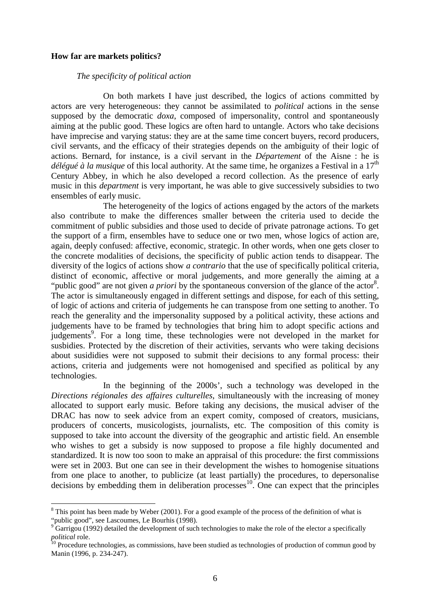#### **How far are markets politics?**

 $\overline{a}$ 

## *The specificity of political action*

On both markets I have just described, the logics of actions committed by actors are very heterogeneous: they cannot be assimilated to *political* actions in the sense supposed by the democratic *doxa*, composed of impersonality, control and spontaneously aiming at the public good. These logics are often hard to untangle. Actors who take decisions have imprecise and varying status: they are at the same time concert buyers, record producers, civil servants, and the efficacy of their strategies depends on the ambiguity of their logic of actions. Bernard, for instance, is a civil servant in the *Département* of the Aisne : he is *délégué à la musique* of this local authority. At the same time, he organizes a Festival in a 17<sup>th</sup> Century Abbey, in which he also developed a record collection. As the presence of early music in this *department* is very important, he was able to give successively subsidies to two ensembles of early music.

The heterogeneity of the logics of actions engaged by the actors of the markets also contribute to make the differences smaller between the criteria used to decide the commitment of public subsidies and those used to decide of private patronage actions. To get the support of a firm, ensembles have to seduce one or two men, whose logics of action are, again, deeply confused: affective, economic, strategic. In other words, when one gets closer to the concrete modalities of decisions, the specificity of public action tends to disappear. The diversity of the logics of actions show *a contrario* that the use of specifically political criteria, distinct of economic, affective or moral judgements, and more generally the aiming at a "public good" are not given *a priori* by the spontaneous conversion of the glance of the actor<sup>8</sup>. The actor is simultaneously engaged in different settings and dispose, for each of this setting, of logic of actions and criteria of judgements he can transpose from one setting to another. To reach the generality and the impersonality supposed by a political activity, these actions and judgements have to be framed by technologies that bring him to adopt specific actions and judgements<sup>9</sup>. For a long time, these technologies were not developed in the market for susbidies. Protected by the discretion of their activities, servants who were taking decisions about susididies were not supposed to submit their decisions to any formal process: their actions, criteria and judgements were not homogenised and specified as political by any technologies.

In the beginning of the 2000s', such a technology was developed in the *Directions régionales des affaires culturelles*, simultaneously with the increasing of money allocated to support early music*.* Before taking any decisions, the musical adviser of the DRAC has now to seek advice from an expert comity, composed of creators, musicians, producers of concerts, musicologists, journalists, etc. The composition of this comity is supposed to take into account the diversity of the geographic and artistic field. An ensemble who wishes to get a subsidy is now supposed to propose a file highly documented and standardized. It is now too soon to make an appraisal of this procedure: the first commissions were set in 2003. But one can see in their development the wishes to homogenise situations from one place to another, to publicize (at least partially) the procedures, to depersonalise decisions by embedding them in deliberation processes <sup>10</sup>. One can expect that the principles

 $8$  This point has been made by Weber (2001). For a good example of the process of the definition of what is "public good", see Lascoumes, Le Bourhis (1998).<br><sup>9</sup> Gerricou (1992) detailed the development of such

Garrigou (1992) detailed the development of such technologies to make the role of the elector a specifically *political* role.

<sup>&</sup>lt;sup>10</sup> Procedure technologies, as commissions, have been studied as technologies of production of commun good by Manin (1996, p. 234-247).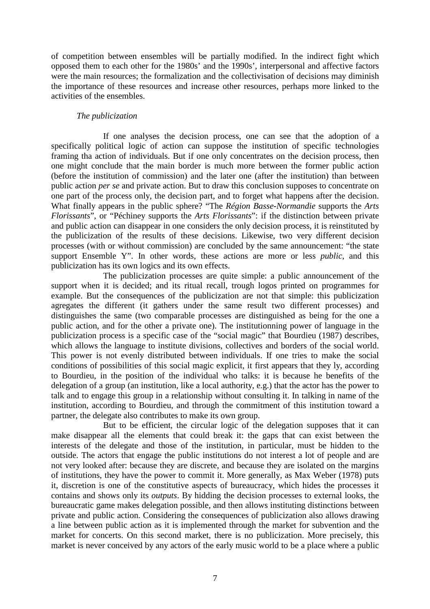of competition between ensembles will be partially modified. In the indirect fight which opposed them to each other for the 1980s' and the 1990s', interpersonal and affective factors were the main resources; the formalization and the collectivisation of decisions may diminish the importance of these resources and increase other resources, perhaps more linked to the activities of the ensembles.

# *The publicization*

If one analyses the decision process, one can see that the adoption of a specifically political logic of action can suppose the institution of specific technologies framing tha action of individuals. But if one only concentrates on the decision process, then one might conclude that the main border is much more between the former public action (before the institution of commission) and the later one (after the institution) than between public action *per se* and private action. But to draw this conclusion supposes to concentrate on one part of the process only, the decision part, and to forget what happens after the decision. What finally appears in the public sphere? "The *Région Basse-Normandie* supports the *Arts Florissants*", or "Péchiney supports the *Arts Florissants*": if the distinction between private and public action can disappear in one considers the only decision process, it is reinstituted by the publicization of the results of these decisions. Likewise, two very different decision processes (with or without commission) are concluded by the same announcement: "the state support Ensemble Y". In other words, these actions are more or less *public*, and this publicization has its own logics and its own effects.

The publicization processes are quite simple: a public announcement of the support when it is decided; and its ritual recall, trough logos printed on programmes for example. But the consequences of the publicization are not that simple: this publicization agregates the different (it gathers under the same result two different processes) and distinguishes the same (two comparable processes are distinguished as being for the one a public action, and for the other a private one). The institutionning power of language in the publicization process is a specific case of the "social magic" that Bourdieu (1987) describes, which allows the language to institute divisions, collectives and borders of the social world. This power is not evenly distributed between individuals. If one tries to make the social conditions of possibilities of this social magic explicit, it first appears that they ly, according to Bourdieu, in the position of the individual who talks: it is because he benefits of the delegation of a group (an institution, like a local authority, e.g.) that the actor has the power to talk and to engage this group in a relationship without consulting it. In talking in name of the institution, according to Bourdieu, and through the commitment of this institution toward a partner, the delegate also contributes to make its own group.

But to be efficient, the circular logic of the delegation supposes that it can make disappear all the elements that could break it: the gaps that can exist between the interests of the delegate and those of the institution, in particular, must be hidden to the outside. The actors that engage the public institutions do not interest a lot of people and are not very looked after: because they are discrete, and because they are isolated on the margins of institutions, they have the power to commit it. More generally, as Max Weber (1978) puts it, discretion is one of the constitutive aspects of bureaucracy, which hides the processes it contains and shows only its *outputs*. By hidding the decision processes to external looks, the bureaucratic game makes delegation possible, and then allows instituting distinctions between private and public action. Considering the consequences of publicization also allows drawing a line between public action as it is implemented through the market for subvention and the market for concerts. On this second market, there is no publicization. More precisely, this market is never conceived by any actors of the early music world to be a place where a public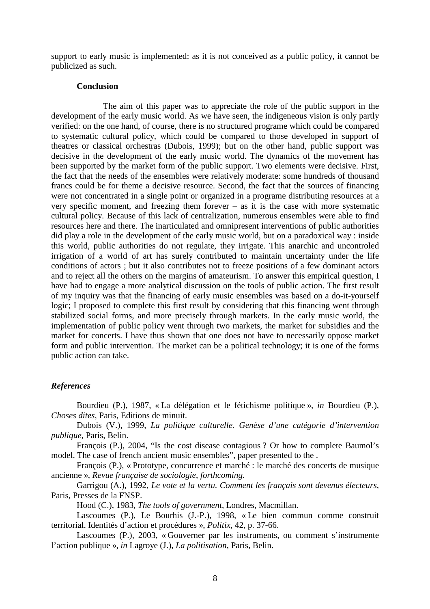support to early music is implemented: as it is not conceived as a public policy, it cannot be publicized as such.

#### **Conclusion**

The aim of this paper was to appreciate the role of the public support in the development of the early music world. As we have seen, the indigeneous vision is only partly verified: on the one hand, of course, there is no structured programe which could be compared to systematic cultural policy, which could be compared to those developed in support of theatres or classical orchestras (Dubois, 1999); but on the other hand, public support was decisive in the development of the early music world. The dynamics of the movement has been supported by the market form of the public support. Two elements were decisive. First, the fact that the needs of the ensembles were relatively moderate: some hundreds of thousand francs could be for theme a decisive resource. Second, the fact that the sources of financing were not concentrated in a single point or organized in a programe distributing resources at a very specific moment, and freezing them forever – as it is the case with more systematic cultural policy. Because of this lack of centralization, numerous ensembles were able to find resources here and there. The inarticulated and omnipresent interventions of public authorities did play a role in the development of the early music world, but on a paradoxical way : inside this world, public authorities do not regulate, they irrigate. This anarchic and uncontroled irrigation of a world of art has surely contributed to maintain uncertainty under the life conditions of actors ; but it also contributes not to freeze positions of a few dominant actors and to reject all the others on the margins of amateurism. To answer this empirical question, I have had to engage a more analytical discussion on the tools of public action. The first result of my inquiry was that the financing of early music ensembles was based on a do-it-yourself logic; I proposed to complete this first result by considering that this financing went through stabilized social forms, and more precisely through markets. In the early music world, the implementation of public policy went through two markets, the market for subsidies and the market for concerts. I have thus shown that one does not have to necessarily oppose market form and public intervention. The market can be a political technology; it is one of the forms public action can take.

#### *References*

 Bourdieu (P.), 1987, « La délégation et le fétichisme politique », *in* Bourdieu (P.), *Choses dites,* Paris, Editions de minuit.

 Dubois (V.), 1999, *La politique culturelle. Genèse d'une catégorie d'intervention publique,* Paris, Belin.

 François (P.), 2004, "Is the cost disease contagious ? Or how to complete Baumol's model. The case of french ancient music ensembles", paper presented to the .

 François (P.), « Prototype, concurrence et marché : le marché des concerts de musique ancienne », *Revue française de sociologie*, *forthcoming.* 

 Garrigou (A.), 1992, *Le vote et la vertu. Comment les français sont devenus électeurs*, Paris, Presses de la FNSP.

Hood (C.), 1983, *The tools of government*, Londres, Macmillan.

 Lascoumes (P.), Le Bourhis (J.-P.), 1998, « Le bien commun comme construit territorial. Identités d'action et procédures », *Politix,* 42, p. 37-66.

 Lascoumes (P.), 2003, « Gouverner par les instruments, ou comment s'instrumente l'action publique », *in* Lagroye (J.), *La politisation*, Paris, Belin.